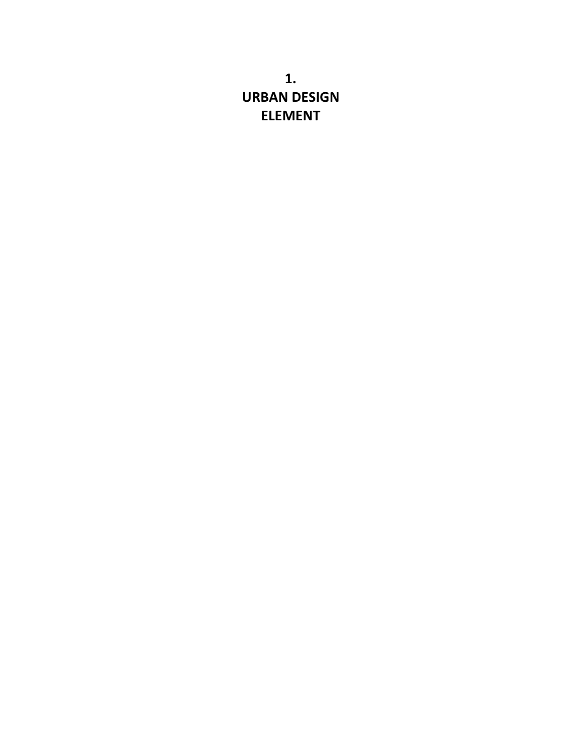**1. URBAN DESIGN ELEMENT**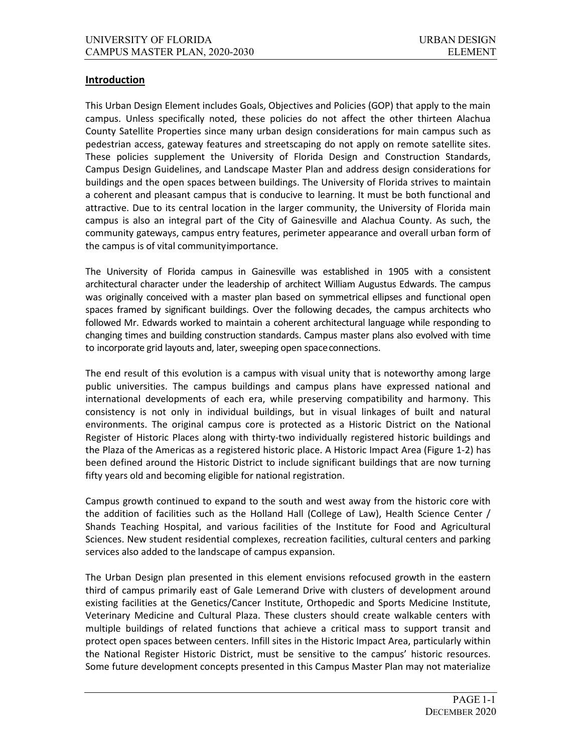#### **Introduction**

This Urban Design Element includes Goals, Objectives and Policies (GOP) that apply to the main campus. Unless specifically noted, these policies do not affect the other thirteen Alachua County Satellite Properties since many urban design considerations for main campus such as pedestrian access, gateway features and streetscaping do not apply on remote satellite sites. These policies supplement the University of Florida Design and Construction Standards, Campus Design Guidelines, and Landscape Master Plan and address design considerations for buildings and the open spaces between buildings. The University of Florida strives to maintain a coherent and pleasant campus that is conducive to learning. It must be both functional and attractive. Due to its central location in the larger community, the University of Florida main campus is also an integral part of the City of Gainesville and Alachua County. As such, the community gateways, campus entry features, perimeter appearance and overall urban form of the campus is of vital communityimportance.

The University of Florida campus in Gainesville was established in 1905 with a consistent architectural character under the leadership of architect William Augustus Edwards. The campus was originally conceived with a master plan based on symmetrical ellipses and functional open spaces framed by significant buildings. Over the following decades, the campus architects who followed Mr. Edwards worked to maintain a coherent architectural language while responding to changing times and building construction standards. Campus master plans also evolved with time to incorporate grid layouts and, later, sweeping open spaceconnections.

The end result of this evolution is a campus with visual unity that is noteworthy among large public universities. The campus buildings and campus plans have expressed national and international developments of each era, while preserving compatibility and harmony. This consistency is not only in individual buildings, but in visual linkages of built and natural environments. The original campus core is protected as a Historic District on the National Register of Historic Places along with thirty-two individually registered historic buildings and the Plaza of the Americas as a registered historic place. A Historic Impact Area (Figure 1-2) has been defined around the Historic District to include significant buildings that are now turning fifty years old and becoming eligible for national registration.

Campus growth continued to expand to the south and west away from the historic core with the addition of facilities such as the Holland Hall (College of Law), Health Science Center / Shands Teaching Hospital, and various facilities of the Institute for Food and Agricultural Sciences. New student residential complexes, recreation facilities, cultural centers and parking services also added to the landscape of campus expansion.

The Urban Design plan presented in this element envisions refocused growth in the eastern third of campus primarily east of Gale Lemerand Drive with clusters of development around existing facilities at the Genetics/Cancer Institute, Orthopedic and Sports Medicine Institute, Veterinary Medicine and Cultural Plaza. These clusters should create walkable centers with multiple buildings of related functions that achieve a critical mass to support transit and protect open spaces between centers. Infill sites in the Historic Impact Area, particularly within the National Register Historic District, must be sensitive to the campus' historic resources. Some future development concepts presented in this Campus Master Plan may not materialize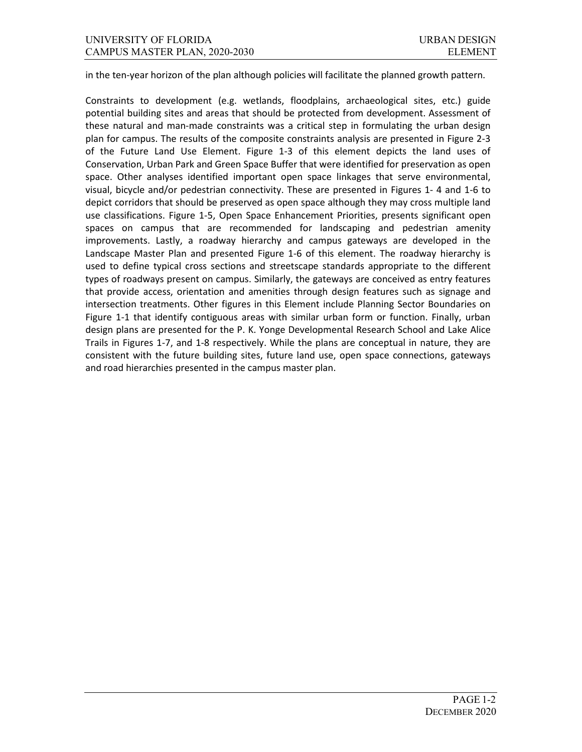in the ten-year horizon of the plan although policies will facilitate the planned growth pattern.

Constraints to development (e.g. wetlands, floodplains, archaeological sites, etc.) guide potential building sites and areas that should be protected from development. Assessment of these natural and man-made constraints was a critical step in formulating the urban design plan for campus. The results of the composite constraints analysis are presented in Figure 2-3 of the Future Land Use Element. Figure 1-3 of this element depicts the land uses of Conservation, Urban Park and Green Space Buffer that were identified for preservation as open space. Other analyses identified important open space linkages that serve environmental, visual, bicycle and/or pedestrian connectivity. These are presented in Figures 1- 4 and 1-6 to depict corridors that should be preserved as open space although they may cross multiple land use classifications. Figure 1-5, Open Space Enhancement Priorities, presents significant open spaces on campus that are recommended for landscaping and pedestrian amenity improvements. Lastly, a roadway hierarchy and campus gateways are developed in the Landscape Master Plan and presented Figure 1-6 of this element. The roadway hierarchy is used to define typical cross sections and streetscape standards appropriate to the different types of roadways present on campus. Similarly, the gateways are conceived as entry features that provide access, orientation and amenities through design features such as signage and intersection treatments. Other figures in this Element include Planning Sector Boundaries on Figure 1-1 that identify contiguous areas with similar urban form or function. Finally, urban design plans are presented for the P. K. Yonge Developmental Research School and Lake Alice Trails in Figures 1-7, and 1-8 respectively. While the plans are conceptual in nature, they are consistent with the future building sites, future land use, open space connections, gateways and road hierarchies presented in the campus master plan.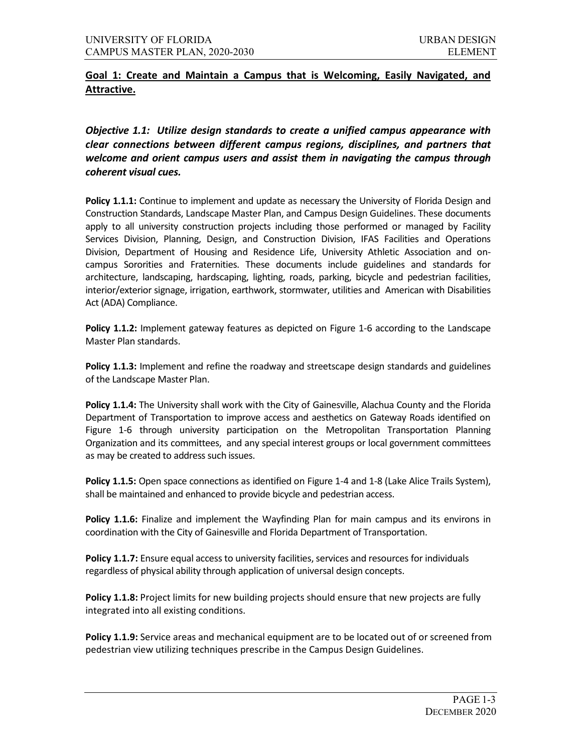# **Goal 1: Create and Maintain a Campus that is Welcoming, Easily Navigated, and Attractive.**

*Objective 1.1: Utilize design standards to create a unified campus appearance with clear connections between different campus regions, disciplines, and partners that welcome and orient campus users and assist them in navigating the campus through coherent visual cues.*

**Policy 1.1.1:** Continue to implement and update as necessary the University of Florida Design and Construction Standards, Landscape Master Plan, and Campus Design Guidelines. These documents apply to all university construction projects including those performed or managed by Facility Services Division, Planning, Design, and Construction Division, IFAS Facilities and Operations Division, Department of Housing and Residence Life, University Athletic Association and oncampus Sororities and Fraternities. These documents include guidelines and standards for architecture, landscaping, hardscaping, lighting, roads, parking, bicycle and pedestrian facilities, interior/exterior signage, irrigation, earthwork, stormwater, utilities and American with Disabilities Act (ADA) Compliance.

**Policy 1.1.2:** Implement gateway features as depicted on Figure 1-6 according to the Landscape Master Plan standards.

**Policy 1.1.3:** Implement and refine the roadway and streetscape design standards and guidelines of the Landscape Master Plan.

**Policy 1.1.4:** The University shall work with the City of Gainesville, Alachua County and the Florida Department of Transportation to improve access and aesthetics on Gateway Roads identified on Figure 1-6 through university participation on the Metropolitan Transportation Planning Organization and its committees, and any special interest groups or local government committees as may be created to address such issues.

**Policy 1.1.5:** Open space connections as identified on Figure 1-4 and 1-8 (Lake Alice Trails System), shall be maintained and enhanced to provide bicycle and pedestrian access.

Policy 1.1.6: Finalize and implement the Wayfinding Plan for main campus and its environs in coordination with the City of Gainesville and Florida Department of Transportation.

**Policy 1.1.7:** Ensure equal access to university facilities, services and resources for individuals regardless of physical ability through application of universal design concepts.

**Policy 1.1.8:** Project limits for new building projects should ensure that new projects are fully integrated into all existing conditions.

**Policy 1.1.9:** Service areas and mechanical equipment are to be located out of or screened from pedestrian view utilizing techniques prescribe in the Campus Design Guidelines.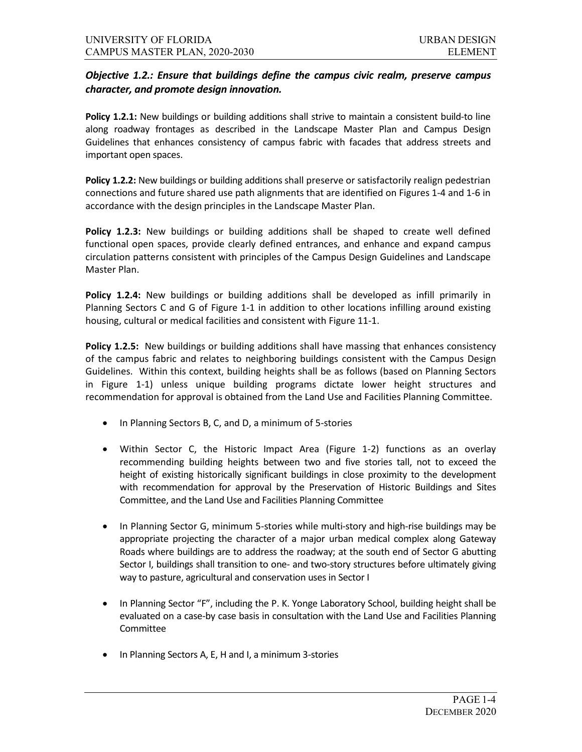## *Objective 1.2.: Ensure that buildings define the campus civic realm, preserve campus character, and promote design innovation.*

**Policy 1.2.1:** New buildings or building additions shall strive to maintain a consistent build-to line along roadway frontages as described in the Landscape Master Plan and Campus Design Guidelines that enhances consistency of campus fabric with facades that address streets and important open spaces.

**Policy 1.2.2:** New buildings or building additions shall preserve or satisfactorily realign pedestrian connections and future shared use path alignments that are identified on Figures 1-4 and 1-6 in accordance with the design principles in the Landscape Master Plan.

**Policy 1.2.3:** New buildings or building additions shall be shaped to create well defined functional open spaces, provide clearly defined entrances, and enhance and expand campus circulation patterns consistent with principles of the Campus Design Guidelines and Landscape Master Plan.

**Policy 1.2.4:** New buildings or building additions shall be developed as infill primarily in Planning Sectors C and G of Figure 1-1 in addition to other locations infilling around existing housing, cultural or medical facilities and consistent with Figure 11-1.

**Policy 1.2.5:** New buildings or building additions shall have massing that enhances consistency of the campus fabric and relates to neighboring buildings consistent with the Campus Design Guidelines. Within this context, building heights shall be as follows (based on Planning Sectors in Figure 1-1) unless unique building programs dictate lower height structures and recommendation for approval is obtained from the Land Use and Facilities Planning Committee.

- In Planning Sectors B, C, and D, a minimum of 5-stories
- Within Sector C, the Historic Impact Area (Figure 1-2) functions as an overlay recommending building heights between two and five stories tall, not to exceed the height of existing historically significant buildings in close proximity to the development with recommendation for approval by the Preservation of Historic Buildings and Sites Committee, and the Land Use and Facilities Planning Committee
- In Planning Sector G, minimum 5-stories while multi-story and high-rise buildings may be appropriate projecting the character of a major urban medical complex along Gateway Roads where buildings are to address the roadway; at the south end of Sector G abutting Sector I, buildings shall transition to one- and two-story structures before ultimately giving way to pasture, agricultural and conservation uses in Sector I
- In Planning Sector "F", including the P. K. Yonge Laboratory School, building height shall be evaluated on a case-by case basis in consultation with the Land Use and Facilities Planning Committee
- In Planning Sectors A, E, H and I, a minimum 3-stories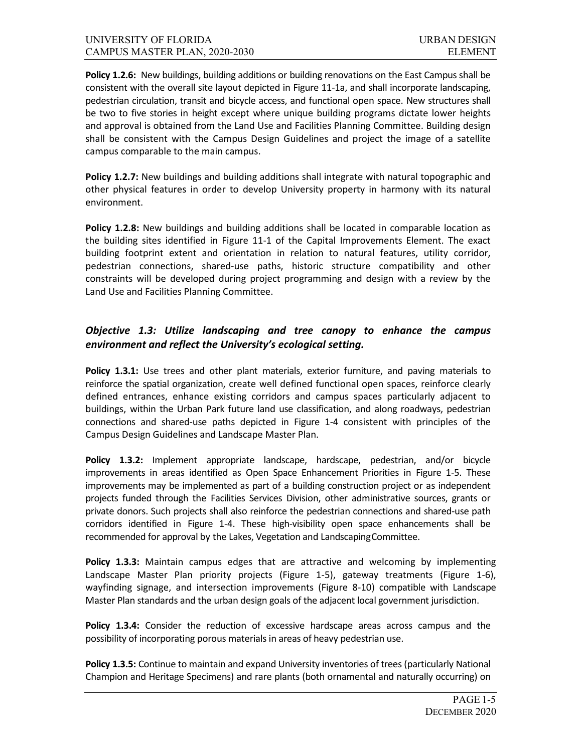**Policy 1.2.6:** New buildings, building additions or building renovations on the East Campus shall be consistent with the overall site layout depicted in Figure 11-1a, and shall incorporate landscaping, pedestrian circulation, transit and bicycle access, and functional open space. New structures shall be two to five stories in height except where unique building programs dictate lower heights and approval is obtained from the Land Use and Facilities Planning Committee. Building design shall be consistent with the Campus Design Guidelines and project the image of a satellite campus comparable to the main campus.

Policy 1.2.7: New buildings and building additions shall integrate with natural topographic and other physical features in order to develop University property in harmony with its natural environment.

**Policy 1.2.8:** New buildings and building additions shall be located in comparable location as the building sites identified in Figure 11-1 of the Capital Improvements Element. The exact building footprint extent and orientation in relation to natural features, utility corridor, pedestrian connections, shared-use paths, historic structure compatibility and other constraints will be developed during project programming and design with a review by the Land Use and Facilities Planning Committee.

## *Objective 1.3: Utilize landscaping and tree canopy to enhance the campus environment and reflect the University's ecological setting.*

**Policy 1.3.1:** Use trees and other plant materials, exterior furniture, and paving materials to reinforce the spatial organization, create well defined functional open spaces, reinforce clearly defined entrances, enhance existing corridors and campus spaces particularly adjacent to buildings, within the Urban Park future land use classification, and along roadways, pedestrian connections and shared-use paths depicted in Figure 1-4 consistent with principles of the Campus Design Guidelines and Landscape Master Plan.

**Policy 1.3.2:** Implement appropriate landscape, hardscape, pedestrian, and/or bicycle improvements in areas identified as Open Space Enhancement Priorities in Figure 1-5. These improvements may be implemented as part of a building construction project or as independent projects funded through the Facilities Services Division, other administrative sources, grants or private donors. Such projects shall also reinforce the pedestrian connections and shared-use path corridors identified in Figure 1-4. These high-visibility open space enhancements shall be recommended for approval by the Lakes, Vegetation and LandscapingCommittee.

**Policy 1.3.3:** Maintain campus edges that are attractive and welcoming by implementing Landscape Master Plan priority projects (Figure 1-5), gateway treatments (Figure 1-6), wayfinding signage, and intersection improvements (Figure 8-10) compatible with Landscape Master Plan standards and the urban design goals of the adjacent local government jurisdiction.

**Policy 1.3.4:** Consider the reduction of excessive hardscape areas across campus and the possibility of incorporating porous materials in areas of heavy pedestrian use.

**Policy 1.3.5:** Continue to maintain and expand University inventories of trees (particularly National Champion and Heritage Specimens) and rare plants (both ornamental and naturally occurring) on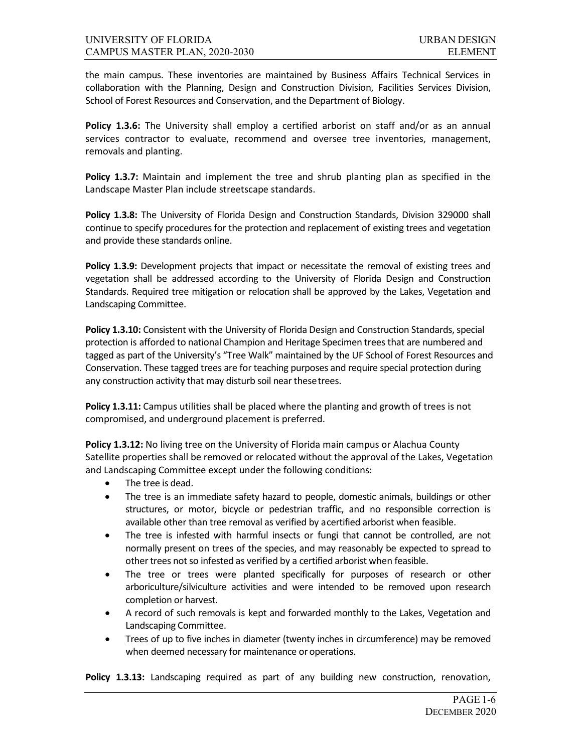the main campus. These inventories are maintained by Business Affairs Technical Services in collaboration with the Planning, Design and Construction Division, Facilities Services Division, School of Forest Resources and Conservation, and the Department of Biology.

Policy 1.3.6: The University shall employ a certified arborist on staff and/or as an annual services contractor to evaluate, recommend and oversee tree inventories, management, removals and planting.

**Policy 1.3.7:** Maintain and implement the tree and shrub planting plan as specified in the Landscape Master Plan include streetscape standards.

**Policy 1.3.8:** The University of Florida Design and Construction Standards, Division 329000 shall continue to specify procedures for the protection and replacement of existing trees and vegetation and provide these standards online.

**Policy 1.3.9:** Development projects that impact or necessitate the removal of existing trees and vegetation shall be addressed according to the University of Florida Design and Construction Standards. Required tree mitigation or relocation shall be approved by the Lakes, Vegetation and Landscaping Committee.

**Policy 1.3.10:** Consistent with the University of Florida Design and Construction Standards, special protection is afforded to national Champion and Heritage Specimen trees that are numbered and tagged as part of the University's "Tree Walk" maintained by the UF School of Forest Resources and Conservation. These tagged trees are for teaching purposes and require special protection during any construction activity that may disturb soil near thesetrees.

**Policy 1.3.11:** Campus utilities shall be placed where the planting and growth of trees is not compromised, and underground placement is preferred.

**Policy 1.3.12:** No living tree on the University of Florida main campus or Alachua County Satellite properties shall be removed or relocated without the approval of the Lakes, Vegetation and Landscaping Committee except under the following conditions:

- The tree is dead.
- The tree is an immediate safety hazard to people, domestic animals, buildings or other structures, or motor, bicycle or pedestrian traffic, and no responsible correction is available other than tree removal as verified by acertified arborist when feasible.
- The tree is infested with harmful insects or fungi that cannot be controlled, are not normally present on trees of the species, and may reasonably be expected to spread to other trees not so infested as verified by a certified arborist when feasible.
- The tree or trees were planted specifically for purposes of research or other arboriculture/silviculture activities and were intended to be removed upon research completion or harvest.
- A record of such removals is kept and forwarded monthly to the Lakes, Vegetation and Landscaping Committee.
- Trees of up to five inches in diameter (twenty inches in circumference) may be removed when deemed necessary for maintenance or operations.

Policy 1.3.13: Landscaping required as part of any building new construction, renovation,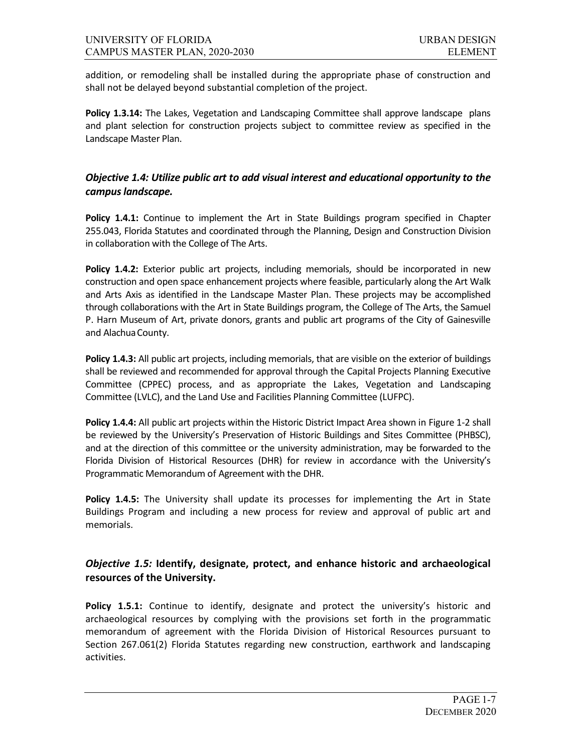addition, or remodeling shall be installed during the appropriate phase of construction and shall not be delayed beyond substantial completion of the project.

Policy 1.3.14: The Lakes, Vegetation and Landscaping Committee shall approve landscape plans and plant selection for construction projects subject to committee review as specified in the Landscape Master Plan.

### *Objective 1.4: Utilize public art to add visual interest and educational opportunity to the campus landscape.*

**Policy 1.4.1:** Continue to implement the Art in State Buildings program specified in Chapter 255.043, Florida Statutes and coordinated through the Planning, Design and Construction Division in collaboration with the College of The Arts.

**Policy 1.4.2:** Exterior public art projects, including memorials, should be incorporated in new construction and open space enhancement projects where feasible, particularly along the Art Walk and Arts Axis as identified in the Landscape Master Plan. These projects may be accomplished through collaborations with the Art in State Buildings program, the College of The Arts, the Samuel P. Harn Museum of Art, private donors, grants and public art programs of the City of Gainesville and Alachua County.

**Policy 1.4.3:** All public art projects, including memorials, that are visible on the exterior of buildings shall be reviewed and recommended for approval through the Capital Projects Planning Executive Committee (CPPEC) process, and as appropriate the Lakes, Vegetation and Landscaping Committee (LVLC), and the Land Use and Facilities Planning Committee (LUFPC).

**Policy 1.4.4:** All public art projects within the Historic District Impact Area shown in Figure 1-2 shall be reviewed by the University's Preservation of Historic Buildings and Sites Committee (PHBSC), and at the direction of this committee or the university administration, may be forwarded to the Florida Division of Historical Resources (DHR) for review in accordance with the University's Programmatic Memorandum of Agreement with the DHR.

**Policy 1.4.5:** The University shall update its processes for implementing the Art in State Buildings Program and including a new process for review and approval of public art and memorials.

## *Objective 1.5:* **Identify, designate, protect, and enhance historic and archaeological resources of the University.**

**Policy 1.5.1:** Continue to identify, designate and protect the university's historic and archaeological resources by complying with the provisions set forth in the programmatic memorandum of agreement with the Florida Division of Historical Resources pursuant to Section 267.061(2) Florida Statutes regarding new construction, earthwork and landscaping activities.